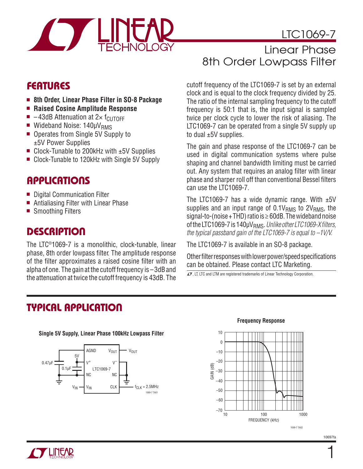

LTC1069-7

## **FEATURES**

- 8th Order, Linear Phase Filter in SO-8 Package
- <sup>n</sup> **Raised Cosine Amplitude Response**
- $\blacksquare$  -43dB Attenuation at 2× f<sub>CUTOFF</sub>
- $\blacksquare$  Wideband Noise: 140µV<sub>RMS</sub>
- Operates from Single 5V Supply to ±5V Power Supplies
- $\blacksquare$  Clock-Tunable to 200kHz with  $\pm 5V$  Supplies
- Clock-Tunable to 120kHz with Single 5V Supply

### **APPLICATIONS**

- Digital Communication Filter
- Antialiasing Filter with Linear Phase
- Smoothing Filters

### **DESCRIPTION**

The LTC®1069-7 is a monolithic, clock-tunable, linear phase, 8th order lowpass filter. The amplitude response of the filter approximates a raised cosine filter with an alpha of one. The gain at the cutoff frequency is –3dB and the attenuation at twice the cutoff frequency is 43dB. The

# Linear Phase 8th Order Lowpass Filter

cutoff frequency of the LTC1069-7 is set by an external clock and is equal to the clock frequency divided by 25. The ratio of the internal sampling frequency to the cutoff frequency is 50:1 that is, the input signal is sampled twice per clock cycle to lower the risk of aliasing. The LTC1069-7 can be operated from a single 5V supply up to dual ±5V supplies.

The gain and phase response of the LTC1069-7 can be used in digital communication systems where pulse shaping and channel bandwidth limiting must be carried out. Any system that requires an analog filter with linear phase and sharper roll off than conventional Bessel filters can use the LTC1069-7.

The LTC1069-7 has a wide dynamic range. With  $±5V$ supplies and an input range of  $0.1V<sub>RMS</sub>$  to  $2V<sub>RMS</sub>$ , the signal-to-(noise + THD) ratio is  $\geq$  60dB. The wideband noise of the LTC1069-7 is 140μV<sub>RMS</sub>. *Unlike other LTC1069-X filters*, *the typical passband gain of the LTC1069-7 is equal to –1V/V.*

The LTC1069-7 is available in an SO-8 package.

Other filter responses with lower power/speed specifications can be obtained. Please contact LTC Marketing.

 $\overline{\mathcal{L}}$ , LT, LTC and LTM are registered trademarks of Linear Technology Corporation.

### **TYPICAL APPLICATION**



**Single 5V Supply, Linear Phase 100kHz Lowpass Filter**

#### **Frequency Response**



10697fa

1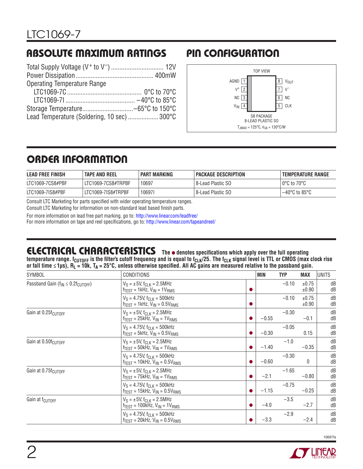# **ABSOLUTE MAXIMUM RATINGS PIN CONFIGURATION**

| <b>Operating Temperature Range</b>          |  |
|---------------------------------------------|--|
|                                             |  |
|                                             |  |
|                                             |  |
| Lead Temperature (Soldering, 10 sec)  300°C |  |
|                                             |  |



# **ORDER INFORMATION**

| <b>LEAD FREE FINISH</b> | <b>TAPE AND REEL</b> | <b>PART MARKING</b> | PACKAGE DESCRIPTION | TEMPERATURE RANGE                |
|-------------------------|----------------------|---------------------|---------------------|----------------------------------|
| LTC1069-7CS8#PBF        | LIC1069-7CS8#TRPBF   | 10697               | 8-Lead Plastic SO   | $0^{\circ}$ C to 70 $^{\circ}$ C |
| LTC1069-7IS8#PBF        | LTC1069-7IS8#TRPBF   | 106971              | 8-Lead Plastic SO   | $-40^{\circ}$ C to 85°C          |

Consult LTC Marketing for parts specified with wider operating temperature ranges. Consult LTC Marketing for information on non-standard lead based finish parts.

For more information on lead free part marking, go to: http://www.linear.com/leadfree/ For more information on tape and reel specifications, go to: http://www.linear.com/tapeandreel/

# **ELECTRICAL CHARACTERISTICS** The  $\bullet$  denotes specifications which apply over the full operating

temperature range. f<sub>CUTOFF</sub> is the filter's cutoff frequency and is equal to f<sub>CLK</sub>/25. The f<sub>CLK</sub> signal level is TTL or CMOS (max clock rise or fall time ≤1µs), R<sub>L</sub> = 10k, T<sub>A</sub> = 25°C, unless otherwise specified. All AC gains are measured relative to the passband gain.

| <b>SYMBOL</b>                                  | <b>CONDITIONS</b>                                                                        |           | <b>MIN</b> | <b>TYP</b> | <b>MAX</b>     | UNITS    |
|------------------------------------------------|------------------------------------------------------------------------------------------|-----------|------------|------------|----------------|----------|
| Passband Gain ( $f_{IN} \leq 0.2 f_{CUTOFF}$ ) | $V_S = \pm 5V$ , $f_{CLK} = 2.5MHz$<br>$f_{TEST}$ = 1kHz, $V_{IN}$ = 1 $V_{RMS}$         |           |            | $-0.10$    | ±0.75<br>±0.90 | dB<br>dB |
|                                                | $V_S = 4.75V$ , $f_{CLK} = 500kHz$<br>$f_{TEST}$ = 1kHz, $V_{IN}$ = 0.5 $V_{RMS}$        | $\bullet$ |            | $-0.10$    | ±0.75<br>±0.90 | dB<br>dB |
| Gain at 0.25f <sub>CUTOFF</sub>                | $V_S = \pm 5V$ , $f_{C1 K} = 2.5 MHz$<br>$f_{TEST}$ = 25kHz, $V_{IN}$ = 1 $V_{RMS}$      | $\bullet$ | $-0.55$    | $-0.30$    | $-0.1$         | dB<br>dB |
|                                                | $V_S = 4.75V$ , $f_{C1 K} = 500kHz$<br>$f_{TFST}$ = 5kHz, $V_{IN}$ = 0.5V <sub>RMS</sub> | ●         | $-0.30$    | $-0.05$    | 0.15           | dB<br>dB |
| Gain at 0.50f <sub>CUTOFF</sub>                | $V_S = \pm 5V$ . for $K = 2.5$ MHz<br>$f_{TEST}$ = 50kHz, $V_{IN}$ = 1 $V_{RMS}$         |           | $-1.40$    | $-1.0$     | $-0.35$        | dB<br>dB |
|                                                | $V_S = 4.75V$ , $f_{CIR} = 500kHz$<br>$f_{TEST}$ = 10kHz, $V_{IN}$ = 0.5 $V_{RMS}$       | ●         | $-0.60$    | $-0.30$    | $\mathbf{0}$   | dB<br>dB |
| Gain at 0.75f <sub>CUTOFF</sub>                | $V_S = \pm 5V$ , $f_{C1 K} = 2.5 MHz$<br>$f_{TFST}$ = 75kHz, $V_{IN}$ = 1 $V_{RMS}$      | ●         | $-2.1$     | $-1.65$    | $-0.80$        | dB<br>dB |
|                                                | $V_S = 4.75V$ , $f_{CJK} = 500kHz$<br>$f_{TEST}$ = 15kHz, $V_{IN}$ = 0.5 $V_{RMS}$       | $\bullet$ | $-1.15$    | $-0.75$    | $-0.25$        | dB<br>dB |
| Gain at f <sub>CUTOFF</sub>                    | $V_S = \pm 5V$ , $f_{CLK} = 2.5 MHz$<br>$f_{TEST}$ = 100kHz, $V_{IN}$ = 1 $V_{RMS}$      | $\bullet$ | $-4.0$     | $-3.5$     | $-2.7$         | dB<br>dB |
|                                                | $V_S = 4.75V$ , $f_{CLK} = 500kHz$<br>$f_{TFST}$ = 20kHz, $V_{IN}$ = 0.5 $V_{RMS}$       | o         | $-3.3$     | $-2.9$     | $-2.4$         | dB<br>dB |

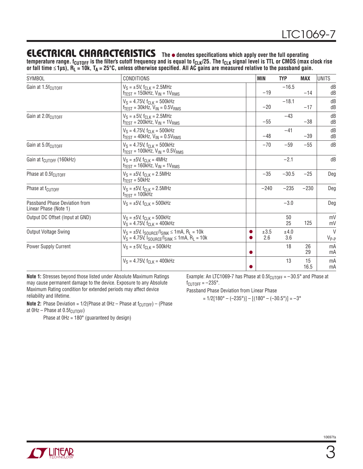### **ELECTRICAL CHARACTERISTICS** The  $\bullet$  denotes specifications which apply over the full operating

temperature range. f<sub>CUTOFF</sub> is the filter's cutoff frequency and is equal to f<sub>CLK</sub>/25. The f<sub>CLK</sub> signal level is TTL or CMOS (max clock rise or fall time ≤1µs), R<sub>L</sub> = 10k, T<sub>A</sub> = 25°C, unless otherwise specified. All AC gains are measured relative to the passband gain.

| <b>SYMBOL</b>                                          | <b>CONDITIONS</b>                                                                                                           | <b>MIN</b> |             | <b>TYP</b>  | MAX        | <b>UNITS</b>              |
|--------------------------------------------------------|-----------------------------------------------------------------------------------------------------------------------------|------------|-------------|-------------|------------|---------------------------|
| Gain at 1.5f <sub>CUTOFF</sub>                         | $V_S = \pm 5V$ , $f_{CIR} = 2.5 MHz$<br>$f_{TEST}$ = 150kHz, $V_{IN}$ = 1 $V_{RMS}$                                         |            | $-19$       | $-16.5$     | $-14$      | dB<br>dB                  |
|                                                        | $V_S = 4.75V$ , $f_{CLK} = 500kHz$<br>$f_{TEST}$ = 30kHz, $V_{IN}$ = 0.5 $V_{RMS}$                                          |            | $-20$       | $-18.1$     | $-17$      | dB<br>dB                  |
| Gain at 2.0f <sub>CUTOFF</sub>                         | $V_S = \pm 5V$ , $f_{CLK} = 2.5 MHz$<br>$f_{TEST}$ = 200kHz, $V_{IN}$ = 1 $V_{RMS}$                                         |            | $-55$       | $-43$       | $-38$      | dB<br>dB                  |
|                                                        | $V_S = 4.75V$ , $f_{CLK} = 500kHz$<br>$f_{TEST}$ = 40kHz, $V_{IN}$ = 0.5 $V_{RMS}$                                          |            | $-48$       | $-41$       | $-39$      | dB<br>dB                  |
| Gain at 5.0f <sub>CUTOFF</sub>                         | $V_S = 4.75V$ , $f_{CLK} = 500kHz$<br>$f_{TEST}$ = 100kHz, $V_{IN}$ = 0.5 $V_{RMS}$                                         |            | $-70$       | $-59$       | $-55$      | dB                        |
| Gain at f <sub>CUTOFF</sub> (160kHz)                   | $V_S = \pm 5V$ , $f_{CIK} = 4MHz$<br>$f_{\text{TEST}}$ = 160kHz, $V_{\text{IN}}$ = 1 $V_{\text{RMS}}$                       |            | $-2.1$      |             | dB         |                           |
| Phase at 0.5f <sub>CUTOFF</sub>                        | $V_S = \pm 5V$ , $f_{C1 K} = 2.5 MHz$<br>$f_{TEST} = 50kHz$                                                                 |            | $-35$       | $-30.5$     | $-25$      | Deg                       |
| Phase at f <sub>CUTOFF</sub>                           | $V_S = \pm 5V$ , f <sub>CLK</sub> = 2.5MHz<br>$f_{TFST}$ = 100kHz                                                           |            | $-240$      | $-235$      | $-230$     | Deg                       |
| Passband Phase Deviation from<br>Linear Phase (Note 1) | $V_S = \pm 5V$ , $f_{CLK} = 500$ kHz                                                                                        |            |             | $-3.0$      |            | Deg                       |
| Output DC Offset (Input at GND)                        | $V_S = \pm 5V$ , f <sub>CLK</sub> = 500kHz<br>$V_S = 4.75V$ , $f_{CLK} = 400kHz$                                            |            |             | 50<br>25    | 125        | mV<br>mV                  |
| <b>Output Voltage Swing</b>                            | $V_S = \pm 5V$ , $I_{SOLRCE}/I_{SINK} \le 1mA$ , $R_L = 10k$<br>$V_S = 4.75V$ , $I_{SOURCE}/I_{SINK} \le 1mA$ , $R_L = 10k$ |            | ±3.5<br>2.6 | ±4.0<br>3.6 |            | $\mathsf{V}$<br>$V_{P-P}$ |
| Power Supply Current                                   | $V_S = \pm 5V$ , f <sub>CLK</sub> = 500kHz                                                                                  | $\bullet$  |             | 18          | 26<br>29   | mA<br>mA                  |
|                                                        | $V_S = 4.75V$ , $f_{CIK} = 400kHz$                                                                                          |            |             | 13          | 15<br>16.5 | mA<br>mA                  |

**Note 1:** Stresses beyond those listed under Absolute Maximum Ratings may cause permanent damage to the device. Exposure to any Absolute Maximum Rating condition for extended periods may affect device reliability and lifetime.

**Note 2:** Phase Deviation =  $1/2$ (Phase at 0Hz – Phase at  $f_{\text{CUTOFF}}$ ) – (Phase

at  $OHz$  – Phase at 0.5 $f_{CUTOFF}$ )

Phase at 0Hz = 180° (guaranteed by design)

Example: An LTC1069-7 has Phase at 0.5 $f_{\text{CUTOFF}} = -30.5^{\circ}$  and Phase at  $f_{\text{CUTOFF}} = -235^{\circ}$ .

Passband Phase Deviation from Linear Phase

 $= 1/2[180^{\circ} - (-235^{\circ})] - [(180^{\circ} - (-30.5^{\circ})] = -3^{\circ}]$ 

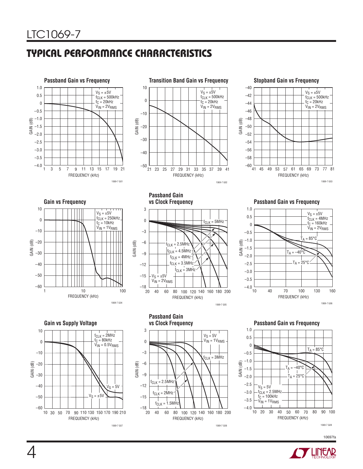# **TYPICAL PERFORMANCE CHARACTERISTICS**





**Stopband Gain vs Frequency**





**Passband Gain** 



**Gain vs Frequency vs Clock Frequency Passband Gain vs Frequency**









**Gain vs Supply Voltage Passband Gain vs Frequency vs Clock Frequency**



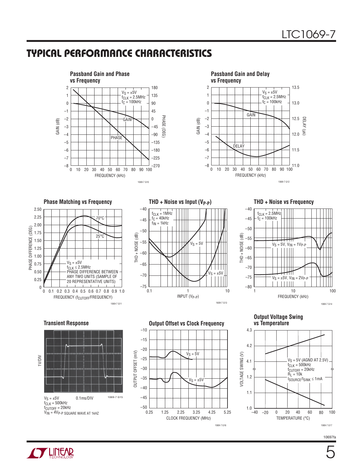## **TYPICAL PERFORMANCE CHARACTERISTICS**





#### Phase Matching vs Frequency **THD + Noise vs Input (V<sub>P-P</sub>)** THD + Noise vs Frequency







**Output Voltage Swing vs Temperature**









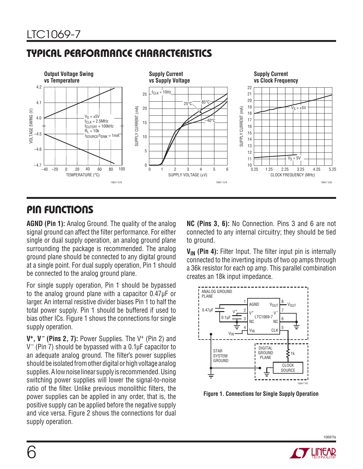# **TYPICAL PERFORMANCE CHARACTERISTICS**



# **PIN FUNCTIONS**

**AGND (Pin 1):** Analog Ground. The quality of the analog signal ground can affect the filter performance. For either single or dual supply operation, an analog ground plane surrounding the package is recommended. The analog ground plane should be connected to any digital ground at a single point. For dual supply operation, Pin 1 should be connected to the analog ground plane.

For single supply operation, Pin 1 should be bypassed to the analog ground plane with a capacitor 0.47μF or larger. An internal resistive divider biases Pin 1 to half the total power supply. Pin 1 should be buffered if used to bias other ICs. Figure 1 shows the connections for single supply operation.

**V+, V– (Pins 2, 7):** Power Supplies. The V+ (Pin 2) and  $V^-$  (Pin 7) should be bypassed with a 0.1 $\mu$ F capacitor to an adequate analog ground. The filter's power supplies should be isolated from other digital or high voltage analog supplies. A low noise linear supply is recommended. Using switching power supplies will lower the signal-to-noise ratio of the filter. Unlike previous monolithic filters, the power supplies can be applied in any order, that is, the positive supply can be applied before the negative supply and vice versa. Figure 2 shows the connections for dual supply operation.

**NC (Pins 3, 6):** No Connection. Pins 3 and 6 are not connected to any internal circuitry; they should be tied to ground.

**V<sub>IN</sub>** (Pin 4): Filter Input. The filter input pin is internally connected to the inverting inputs of two op amps through a 36k resistor for each op amp. This parallel combination creates an 18k input impedance.



**Figure 1. Connections for Single Supply Operation**

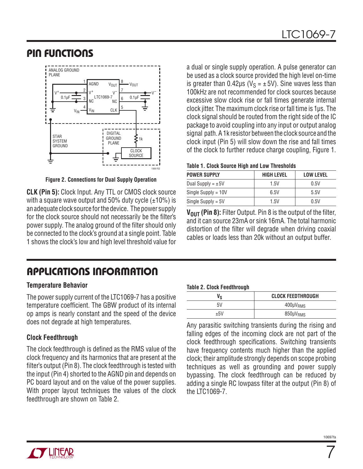# **PIN FUNCTIONS**



**Figure 2. Connections for Dual Supply Operation**

**CLK (Pin 5):** Clock Input. Any TTL or CMOS clock source with a square wave output and 50% duty cycle  $(\pm 10\%)$  is an adequate clock source for the device. The power supply for the clock source should not necessarily be the filter's power supply. The analog ground of the filter should only be connected to the clock's ground at a single point. Table 1 shows the clock's low and high level threshold value for a dual or single supply operation. A pulse generator can be used as a clock source provided the high level on-time is greater than 0.42μs ( $V_S = \pm 5V$ ). Sine waves less than 100kHz are not recommended for clock sources because excessive slow clock rise or fall times generate internal clock jitter. The maximum clock rise or fall time is 1μs. The clock signal should be routed from the right side of the IC package to avoid coupling into any input or output analog signal path. A 1k resistor between the clock source and the clock input (Pin 5) will slow down the rise and fall times of the clock to further reduce charge coupling, Figure 1.

| <b>HIGH LEVEL</b> | <b>LOW LEVEL</b> |  |  |
|-------------------|------------------|--|--|
| 1.5V              | 0.5V             |  |  |
| 6.5V              | 5.5V             |  |  |
| 1.5V              | 0.5V             |  |  |
|                   |                  |  |  |

**V<sub>OUT</sub> (Pin 8):** Filter Output. Pin 8 is the output of the filter, and it can source 23mA or sink 16mA. The total harmonic distortion of the filter will degrade when driving coaxial cables or loads less than 20k without an output buffer.

# **APPLICATIONS INFORMATION**

### **Temperature Behavior**

The power supply current of the LTC1069-7 has a positive temperature coefficient. The GBW product of its internal op amps is nearly constant and the speed of the device does not degrade at high temperatures.

### **Clock Feedthrough**

The clock feedthrough is defined as the RMS value of the clock frequency and its harmonics that are present at the filter's output (Pin 8). The clock feedthrough is tested with the input (Pin 4) shorted to the AGND pin and depends on PC board layout and on the value of the power supplies. With proper layout techniques the values of the clock feedthrough are shown on Table 2.

#### **Table 2. Clock Feedthrough**

| -   |                          |
|-----|--------------------------|
| Vs  | <b>CLOCK FEEDTHROUGH</b> |
| 5V  | $400 \mu V_{RMS}$        |
| ±5V | 850µV <sub>RMS</sub>     |

Any parasitic switching transients during the rising and falling edges of the incoming clock are not part of the clock feedthrough specifications. Switching transients have frequency contents much higher than the applied clock; their amplitude strongly depends on scope probing techniques as well as grounding and power supply bypassing. The clock feedthrough can be reduced by adding a single RC lowpass filter at the output (Pin 8) of the LTC1069-7.



7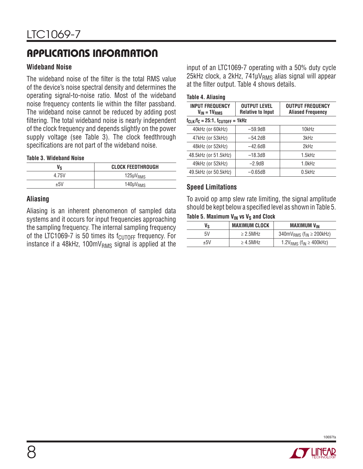# **APPLICATIONS INFORMATION**

### **Wideband Noise**

The wideband noise of the filter is the total RMS value of the device's noise spectral density and determines the operating signal-to-noise ratio. Most of the wideband noise frequency contents lie within the filter passband. The wideband noise cannot be reduced by adding post filtering. The total wideband noise is nearly independent of the clock frequency and depends slightly on the power supply voltage (see Table 3). The clock feedthrough specifications are not part of the wideband noise.

#### **Table 3. Wideband Noise**

| Vs    | <b>CLOCK FEEDTHROUGH</b> |
|-------|--------------------------|
| 4.75V | $125 \mu V_{RMS}$        |
| $+5V$ | $140 \mu V_{RMS}$        |

#### **Aliasing**

Aliasing is an inherent phenomenon of sampled data systems and it occurs for input frequencies approaching the sampling frequency. The internal sampling frequency of the LTC1069-7 is 50 times its  $f_{\text{CUTOFF}}$  frequency. For instance if a 48kHz,  $100 \text{mV}_{RMS}$  signal is applied at the

input of an LTC1069-7 operating with a 50% duty cycle 25kHz clock, a 2kHz, 741μV<sub>RMS</sub> alias signal will appear at the filter output. Table 4 shows details.

#### **Table 4. Aliasing**

| <b>INPUT FREQUENCY</b><br>$V_{IN} = 1V_{RMS}$ | <b>OUTPUT LEVEL</b><br><b>Relative to Input</b> | <b>OUTPUT FREQUENCY</b><br><b>Aliased Frequency</b> |  |  |
|-----------------------------------------------|-------------------------------------------------|-----------------------------------------------------|--|--|
|                                               | $f_{CLK}/f_C = 25:1$ , $f_{CUTOFF} = 1kHz$      |                                                     |  |  |
| 40kHz (or 60kHz)                              | $-59.9dB$                                       | 10kHz                                               |  |  |
| 47kHz (or 53kHz)                              | $-54.2dB$                                       | 3kHz                                                |  |  |
| 48kHz (or 52kHz)                              | $-42.6dB$                                       | 2kHz                                                |  |  |
| 48.5kHz (or 51.5kHz)                          | $-18.3dB$                                       | $1.5$ k $Hz$                                        |  |  |
| 49kHz (or 52kHz)                              | $-2.9dB$                                        | 1.0kHz                                              |  |  |
| 49.5kHz (or 50.5kHz)                          | $-0.65dB$                                       | $0.5$ k $Hz$                                        |  |  |

#### **Speed Limitations**

To avoid op amp slew rate limiting, the signal amplitude should be kept below a specified level as shown in Table 5.

#### Table 5. Maximum V<sub>IN</sub> vs V<sub>s</sub> and Clock

| ٧s  | <b>MAXIMUM CLOCK</b> | <b>MAXIMUM VIN</b>                            |  |
|-----|----------------------|-----------------------------------------------|--|
| 5V  | $\geq$ 2.5MHz        | $340mVRMS$ (f <sub>IN</sub> $\geq$ 200kHz)    |  |
| ±5V | $\geq 4.5$ MHz       | 1.2 $V_{RMS}$ (f <sub>IN</sub> $\geq$ 400kHz) |  |

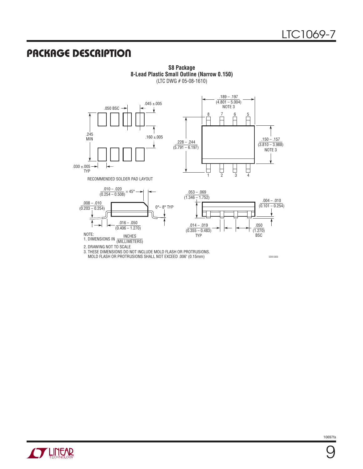## **PACKAGE DESCRIPTION**

.189 – .197  $(4.801 - 5.004)$ .045 ±.005 NOTE 3 .050 BSC  $\downarrow$  $\begin{array}{c|c|c|c|c} 8 & 7 & 6 & 5 \\ \hline \end{array}$ Н ↑ .245 .160  $\pm .005$ .150 – .157 .228 – .244  $\mathbf{\downarrow}$ (3.810 – 3.988)  $(5.791 - 6.197)$ NOTE 3  $.030 \pm .005$  $\begin{array}{ccc} \square & \square & \square \\ \square & 3 & 4 \end{array}$ 8 TYP RECOMMENDED SOLDER PAD LAYOUT  $.010 - .020$  $\frac{.010 - .020}{(0.254 - 0.508)} \times 45^\circ$  $.053 - .069$  $(1.346 - 1.752)$ .004 – .010 .008 – .010 0°– 8° TYP  $(0.101 - 0.254)$  $(0.203 - 0.254)$  $.016 - .050$  $.014 - .019$ .050  $(0.406 - 1.270)$  $(0.355 - 0.483)$ (1.270) BSC NOTE: TYP INCHES 1. DIMENSIONS IN (MILLIMETERS) 2. DRAWING NOT TO SCALE 3. THESE DIMENSIONS DO NOT INCLUDE MOLD FLASH OR PROTRUSIONS.

MOLD FLASH OR PROTRUSIONS SHALL NOT EXCEED .006" (0.15mm)

**S8 Package 8-Lead Plastic Small Outline (Narrow 0.150)** (LTC DWG # 05-08-1610)

SO8 0303



9